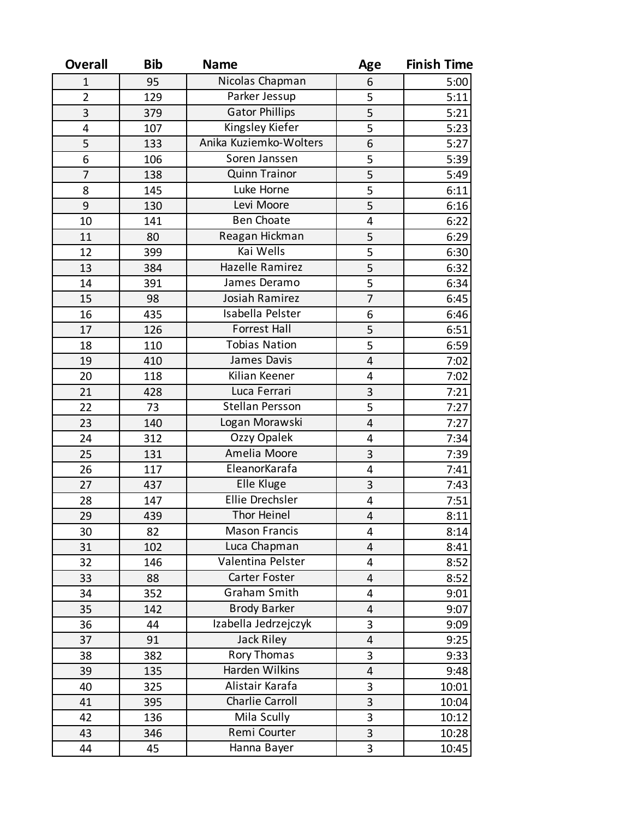| <b>Overall</b> | <b>Bib</b> | <b>Name</b>            | Age                     | <b>Finish Time</b> |
|----------------|------------|------------------------|-------------------------|--------------------|
| $\mathbf{1}$   | 95         | Nicolas Chapman        | 6                       | 5:00               |
| $\overline{2}$ | 129        | Parker Jessup          | 5                       | 5:11               |
| 3              | 379        | <b>Gator Phillips</b>  | $\overline{5}$          | 5:21               |
| 4              | 107        | Kingsley Kiefer        | $\overline{5}$          | 5:23               |
| 5              | 133        | Anika Kuziemko-Wolters | 6                       | 5:27               |
| 6              | 106        | Soren Janssen          | 5                       | 5:39               |
| $\overline{7}$ | 138        | <b>Quinn Trainor</b>   | $\overline{5}$          | 5:49               |
| 8              | 145        | Luke Horne             | $\overline{5}$          | 6:11               |
| 9              | 130        | Levi Moore             | 5                       | 6:16               |
| 10             | 141        | <b>Ben Choate</b>      | 4                       | 6:22               |
| 11             | 80         | Reagan Hickman         | 5                       | 6:29               |
| 12             | 399        | Kai Wells              | $\overline{5}$          | 6:30               |
| 13             | 384        | Hazelle Ramirez        | 5                       | 6:32               |
| 14             | 391        | James Deramo           | $\overline{5}$          | 6:34               |
| 15             | 98         | Josiah Ramirez         | $\overline{7}$          | 6:45               |
| 16             | 435        | Isabella Pelster       | 6                       | 6:46               |
| 17             | 126        | <b>Forrest Hall</b>    | 5                       | 6:51               |
| 18             | 110        | <b>Tobias Nation</b>   | $\overline{5}$          | 6:59               |
| 19             | 410        | James Davis            | $\overline{\mathbf{4}}$ | 7:02               |
| 20             | 118        | Kilian Keener          | 4                       | 7:02               |
| 21             | 428        | Luca Ferrari           | 3                       | 7:21               |
| 22             | 73         | <b>Stellan Persson</b> | $\overline{5}$          | 7:27               |
| 23             | 140        | Logan Morawski         | $\overline{\mathbf{4}}$ | 7:27               |
| 24             | 312        | Ozzy Opalek            | 4                       | 7:34               |
| 25             | 131        | Amelia Moore           | 3                       | 7:39               |
| 26             | 117        | EleanorKarafa          | 4                       | 7:41               |
| 27             | 437        | Elle Kluge             | 3                       | 7:43               |
| 28             | 147        | Ellie Drechsler        | 4                       | 7:51               |
| 29             | 439        | <b>Thor Heinel</b>     | 4                       | 8:11               |
| 30             | 82         | <b>Mason Francis</b>   | 4                       | 8:14               |
| 31             | 102        | Luca Chapman           | 4                       | 8:41               |
| 32             | 146        | Valentina Pelster      | 4                       | 8:52               |
| 33             | 88         | Carter Foster          | 4                       | 8:52               |
| 34             | 352        | Graham Smith           | 4                       | 9:01               |
| 35             | 142        | <b>Brody Barker</b>    | 4                       | 9:07               |
| 36             | 44         | Izabella Jedrzejczyk   | 3                       | 9:09               |
| 37             | 91         | Jack Riley             | 4                       | 9:25               |
| 38             | 382        | Rory Thomas            | 3                       | 9:33               |
| 39             | 135        | Harden Wilkins         | 4                       | 9:48               |
| 40             | 325        | Alistair Karafa        | 3                       | 10:01              |
| 41             | 395        | Charlie Carroll        | 3                       | 10:04              |
| 42             | 136        | Mila Scully            | 3                       | 10:12              |
| 43             | 346        | Remi Courter           | 3                       | 10:28              |
| 44             | 45         | Hanna Bayer            | 3                       | 10:45              |